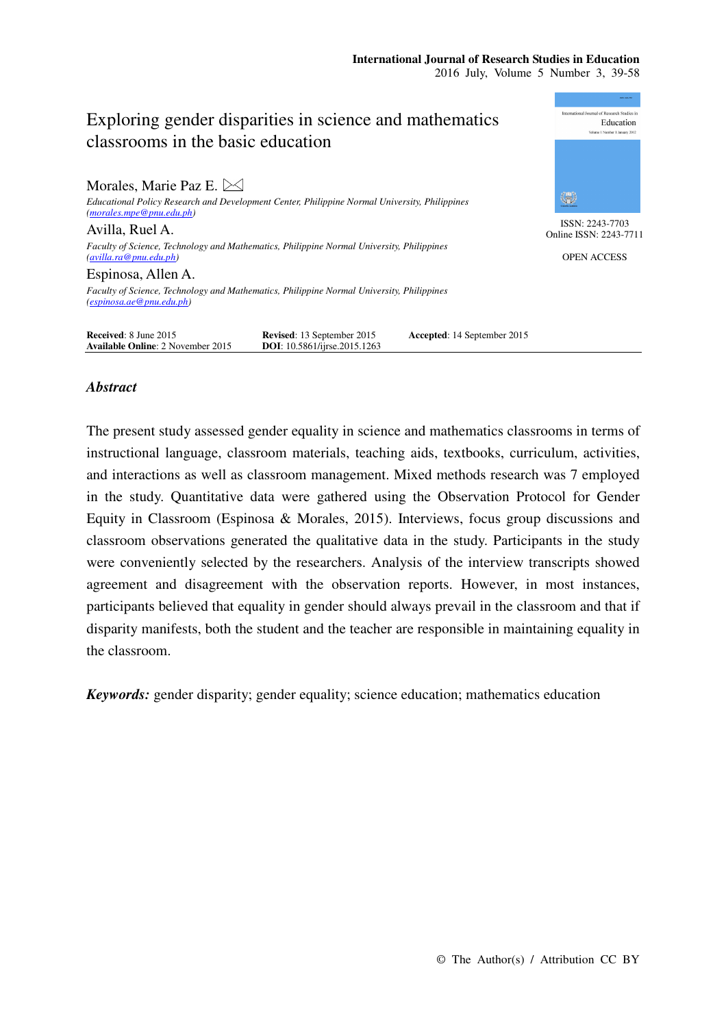# mational Journal of Research Studies in Exploring gender disparities in science and mathematics Education classrooms in the basic education Morales, Marie Paz E.  $\bowtie$ ₩ *Educational Policy Research and Development Center, Philippine Normal University, Philippines (morales.mpe@pnu.edu.ph)*  ISSN: 2243-7703 Avilla, Ruel A. Online ISSN: 2243-7711 *Faculty of Science, Technology and Mathematics, Philippine Normal University, Philippines (avilla.ra@pnu.edu.ph)*  OPEN ACCESS Espinosa, Allen A. *Faculty of Science, Technology and Mathematics, Philippine Normal University, Philippines (espinosa.ae@pnu.edu.ph)*  **Received:** 8 June 2015 **Revised:** 13 September 2015 **Accepted:** 14 September 2015 **Available Online:** 2 November 2015 **DOI:** 10.5861/ijrse.2015.1263 **Available Online**: 2 November 2015

# *Abstract*

The present study assessed gender equality in science and mathematics classrooms in terms of instructional language, classroom materials, teaching aids, textbooks, curriculum, activities, and interactions as well as classroom management. Mixed methods research was 7 employed in the study. Quantitative data were gathered using the Observation Protocol for Gender Equity in Classroom (Espinosa & Morales, 2015). Interviews, focus group discussions and classroom observations generated the qualitative data in the study. Participants in the study were conveniently selected by the researchers. Analysis of the interview transcripts showed agreement and disagreement with the observation reports. However, in most instances, participants believed that equality in gender should always prevail in the classroom and that if disparity manifests, both the student and the teacher are responsible in maintaining equality in the classroom.

*Keywords:* gender disparity; gender equality; science education; mathematics education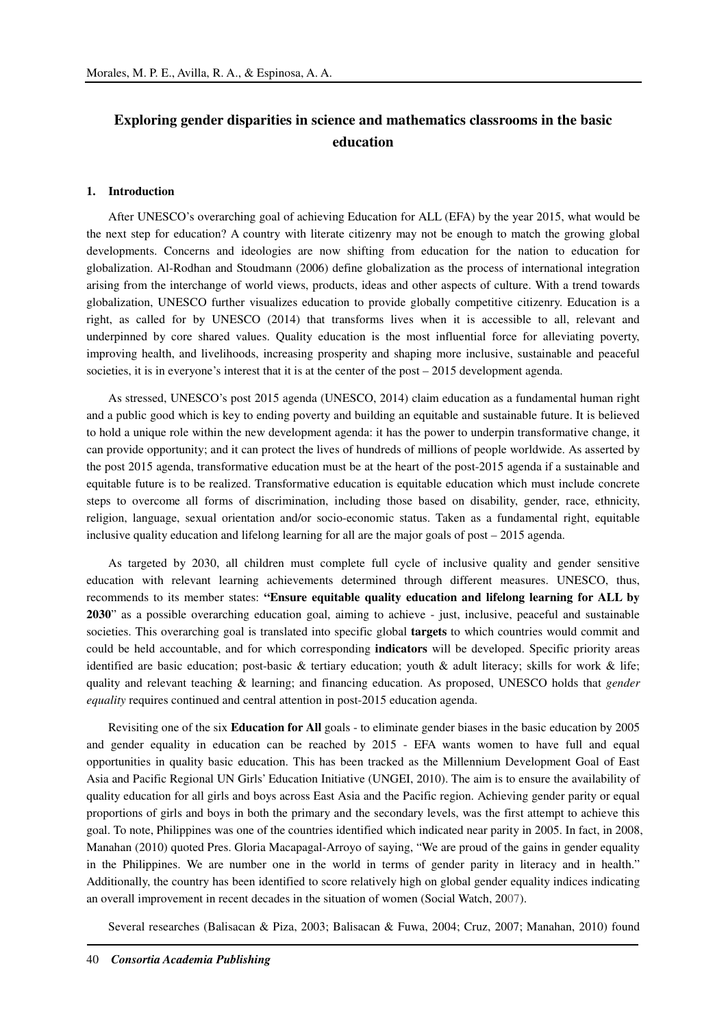# **Exploring gender disparities in science and mathematics classrooms in the basic education**

#### **1. Introduction**

After UNESCO's overarching goal of achieving Education for ALL (EFA) by the year 2015, what would be the next step for education? A country with literate citizenry may not be enough to match the growing global developments. Concerns and ideologies are now shifting from education for the nation to education for globalization. Al-Rodhan and Stoudmann (2006) define globalization as the process of international integration arising from the interchange of world views, products, ideas and other aspects of culture. With a trend towards globalization, UNESCO further visualizes education to provide globally competitive citizenry. Education is a right, as called for by UNESCO (2014) that transforms lives when it is accessible to all, relevant and underpinned by core shared values. Quality education is the most influential force for alleviating poverty, improving health, and livelihoods, increasing prosperity and shaping more inclusive, sustainable and peaceful societies, it is in everyone's interest that it is at the center of the post – 2015 development agenda.

As stressed, UNESCO's post 2015 agenda (UNESCO, 2014) claim education as a fundamental human right and a public good which is key to ending poverty and building an equitable and sustainable future. It is believed to hold a unique role within the new development agenda: it has the power to underpin transformative change, it can provide opportunity; and it can protect the lives of hundreds of millions of people worldwide. As asserted by the post 2015 agenda, transformative education must be at the heart of the post-2015 agenda if a sustainable and equitable future is to be realized. Transformative education is equitable education which must include concrete steps to overcome all forms of discrimination, including those based on disability, gender, race, ethnicity, religion, language, sexual orientation and/or socio-economic status. Taken as a fundamental right, equitable inclusive quality education and lifelong learning for all are the major goals of post – 2015 agenda.

As targeted by 2030, all children must complete full cycle of inclusive quality and gender sensitive education with relevant learning achievements determined through different measures. UNESCO, thus, recommends to its member states: **"Ensure equitable quality education and lifelong learning for ALL by 2030**" as a possible overarching education goal, aiming to achieve - just, inclusive, peaceful and sustainable societies. This overarching goal is translated into specific global **targets** to which countries would commit and could be held accountable, and for which corresponding **indicators** will be developed. Specific priority areas identified are basic education; post-basic & tertiary education; youth & adult literacy; skills for work & life; quality and relevant teaching & learning; and financing education. As proposed, UNESCO holds that *gender equality* requires continued and central attention in post-2015 education agenda.

Revisiting one of the six **Education for All** goals - to eliminate gender biases in the basic education by 2005 and gender equality in education can be reached by 2015 - EFA wants women to have full and equal opportunities in quality basic education. This has been tracked as the Millennium Development Goal of East Asia and Pacific Regional UN Girls' Education Initiative (UNGEI, 2010). The aim is to ensure the availability of quality education for all girls and boys across East Asia and the Pacific region. Achieving gender parity or equal proportions of girls and boys in both the primary and the secondary levels, was the first attempt to achieve this goal. To note, Philippines was one of the countries identified which indicated near parity in 2005. In fact, in 2008, Manahan (2010) quoted Pres. Gloria Macapagal-Arroyo of saying, "We are proud of the gains in gender equality in the Philippines. We are number one in the world in terms of gender parity in literacy and in health." Additionally, the country has been identified to score relatively high on global gender equality indices indicating an overall improvement in recent decades in the situation of women (Social Watch, 2007).

Several researches (Balisacan & Piza, 2003; Balisacan & Fuwa, 2004; Cruz, 2007; Manahan, 2010) found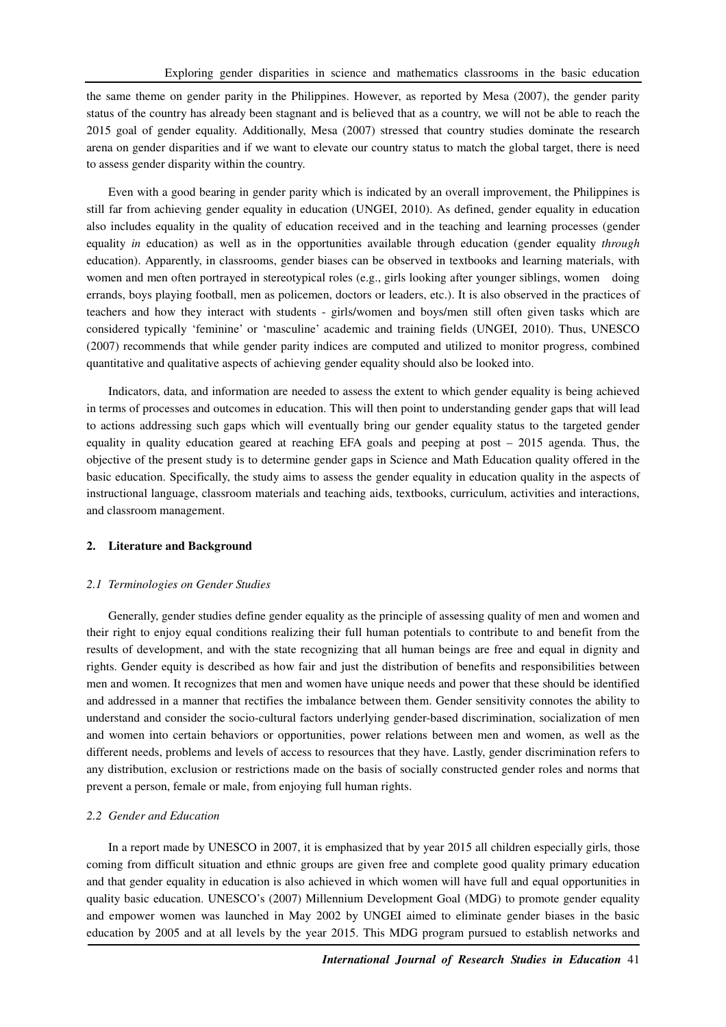the same theme on gender parity in the Philippines. However, as reported by Mesa (2007), the gender parity status of the country has already been stagnant and is believed that as a country, we will not be able to reach the 2015 goal of gender equality. Additionally, Mesa (2007) stressed that country studies dominate the research arena on gender disparities and if we want to elevate our country status to match the global target, there is need to assess gender disparity within the country.

Even with a good bearing in gender parity which is indicated by an overall improvement, the Philippines is still far from achieving gender equality in education (UNGEI, 2010). As defined, gender equality in education also includes equality in the quality of education received and in the teaching and learning processes (gender equality *in* education) as well as in the opportunities available through education (gender equality *through*  education). Apparently, in classrooms, gender biases can be observed in textbooks and learning materials, with women and men often portrayed in stereotypical roles (e.g., girls looking after younger siblings, women doing errands, boys playing football, men as policemen, doctors or leaders, etc.). It is also observed in the practices of teachers and how they interact with students - girls/women and boys/men still often given tasks which are considered typically 'feminine' or 'masculine' academic and training fields (UNGEI, 2010). Thus, UNESCO (2007) recommends that while gender parity indices are computed and utilized to monitor progress, combined quantitative and qualitative aspects of achieving gender equality should also be looked into.

Indicators, data, and information are needed to assess the extent to which gender equality is being achieved in terms of processes and outcomes in education. This will then point to understanding gender gaps that will lead to actions addressing such gaps which will eventually bring our gender equality status to the targeted gender equality in quality education geared at reaching EFA goals and peeping at post – 2015 agenda. Thus, the objective of the present study is to determine gender gaps in Science and Math Education quality offered in the basic education. Specifically, the study aims to assess the gender equality in education quality in the aspects of instructional language, classroom materials and teaching aids, textbooks, curriculum, activities and interactions, and classroom management.

## **2. Literature and Background**

#### *2.1 Terminologies on Gender Studies*

Generally, gender studies define gender equality as the principle of assessing quality of men and women and their right to enjoy equal conditions realizing their full human potentials to contribute to and benefit from the results of development, and with the state recognizing that all human beings are free and equal in dignity and rights. Gender equity is described as how fair and just the distribution of benefits and responsibilities between men and women. It recognizes that men and women have unique needs and power that these should be identified and addressed in a manner that rectifies the imbalance between them. Gender sensitivity connotes the ability to understand and consider the socio-cultural factors underlying gender-based discrimination, socialization of men and women into certain behaviors or opportunities, power relations between men and women, as well as the different needs, problems and levels of access to resources that they have. Lastly, gender discrimination refers to any distribution, exclusion or restrictions made on the basis of socially constructed gender roles and norms that prevent a person, female or male, from enjoying full human rights.

#### *2.2 Gender and Education*

In a report made by UNESCO in 2007, it is emphasized that by year 2015 all children especially girls, those coming from difficult situation and ethnic groups are given free and complete good quality primary education and that gender equality in education is also achieved in which women will have full and equal opportunities in quality basic education. UNESCO's (2007) Millennium Development Goal (MDG) to promote gender equality and empower women was launched in May 2002 by UNGEI aimed to eliminate gender biases in the basic education by 2005 and at all levels by the year 2015. This MDG program pursued to establish networks and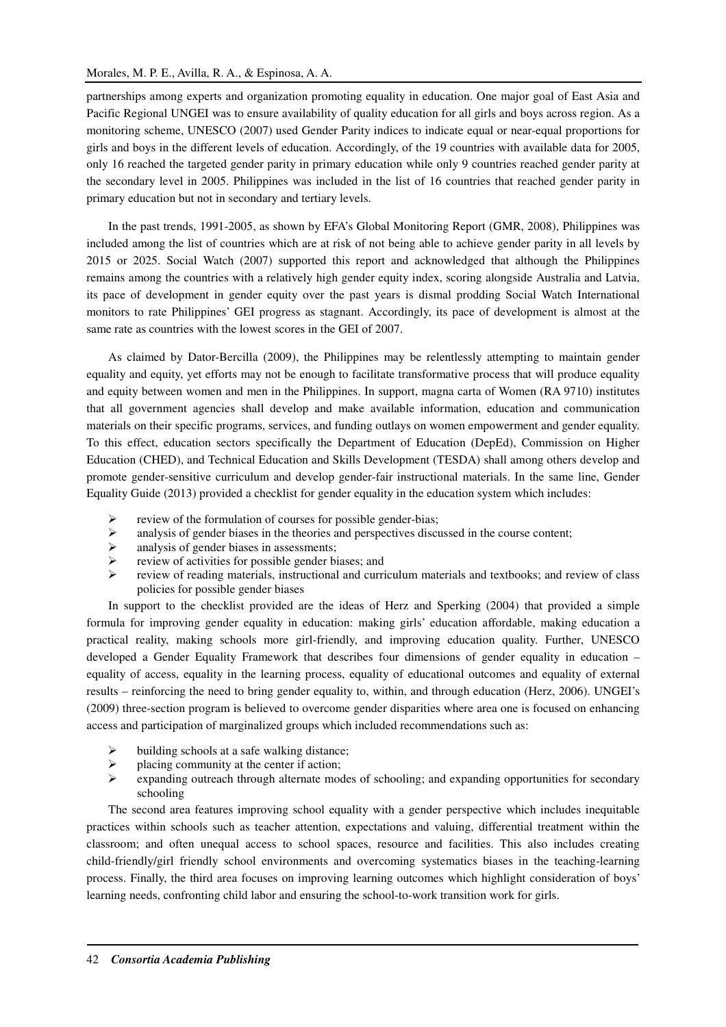partnerships among experts and organization promoting equality in education. One major goal of East Asia and Pacific Regional UNGEI was to ensure availability of quality education for all girls and boys across region. As a monitoring scheme, UNESCO (2007) used Gender Parity indices to indicate equal or near-equal proportions for girls and boys in the different levels of education. Accordingly, of the 19 countries with available data for 2005, only 16 reached the targeted gender parity in primary education while only 9 countries reached gender parity at the secondary level in 2005. Philippines was included in the list of 16 countries that reached gender parity in primary education but not in secondary and tertiary levels.

In the past trends, 1991-2005, as shown by EFA's Global Monitoring Report (GMR, 2008), Philippines was included among the list of countries which are at risk of not being able to achieve gender parity in all levels by 2015 or 2025. Social Watch (2007) supported this report and acknowledged that although the Philippines remains among the countries with a relatively high gender equity index, scoring alongside Australia and Latvia, its pace of development in gender equity over the past years is dismal prodding Social Watch International monitors to rate Philippines' GEI progress as stagnant. Accordingly, its pace of development is almost at the same rate as countries with the lowest scores in the GEI of 2007.

As claimed by Dator-Bercilla (2009), the Philippines may be relentlessly attempting to maintain gender equality and equity, yet efforts may not be enough to facilitate transformative process that will produce equality and equity between women and men in the Philippines. In support, magna carta of Women (RA 9710) institutes that all government agencies shall develop and make available information, education and communication materials on their specific programs, services, and funding outlays on women empowerment and gender equality. To this effect, education sectors specifically the Department of Education (DepEd), Commission on Higher Education (CHED), and Technical Education and Skills Development (TESDA) shall among others develop and promote gender-sensitive curriculum and develop gender-fair instructional materials. In the same line, Gender Equality Guide (2013) provided a checklist for gender equality in the education system which includes:

- review of the formulation of courses for possible gender-bias;
- $\triangleright$  analysis of gender biases in the theories and perspectives discussed in the course content;
- $\triangleright$  analysis of gender biases in assessments;
- review of activities for possible gender biases; and
- review of reading materials, instructional and curriculum materials and textbooks; and review of class policies for possible gender biases

In support to the checklist provided are the ideas of Herz and Sperking (2004) that provided a simple formula for improving gender equality in education: making girls' education affordable, making education a practical reality, making schools more girl-friendly, and improving education quality. Further, UNESCO developed a Gender Equality Framework that describes four dimensions of gender equality in education – equality of access, equality in the learning process, equality of educational outcomes and equality of external results – reinforcing the need to bring gender equality to, within, and through education (Herz, 2006). UNGEI's (2009) three-section program is believed to overcome gender disparities where area one is focused on enhancing access and participation of marginalized groups which included recommendations such as:

- $\triangleright$  building schools at a safe walking distance;
- $\triangleright$  placing community at the center if action;
- $\triangleright$  expanding outreach through alternate modes of schooling; and expanding opportunities for secondary schooling

The second area features improving school equality with a gender perspective which includes inequitable practices within schools such as teacher attention, expectations and valuing, differential treatment within the classroom; and often unequal access to school spaces, resource and facilities. This also includes creating child-friendly/girl friendly school environments and overcoming systematics biases in the teaching-learning process. Finally, the third area focuses on improving learning outcomes which highlight consideration of boys' learning needs, confronting child labor and ensuring the school-to-work transition work for girls.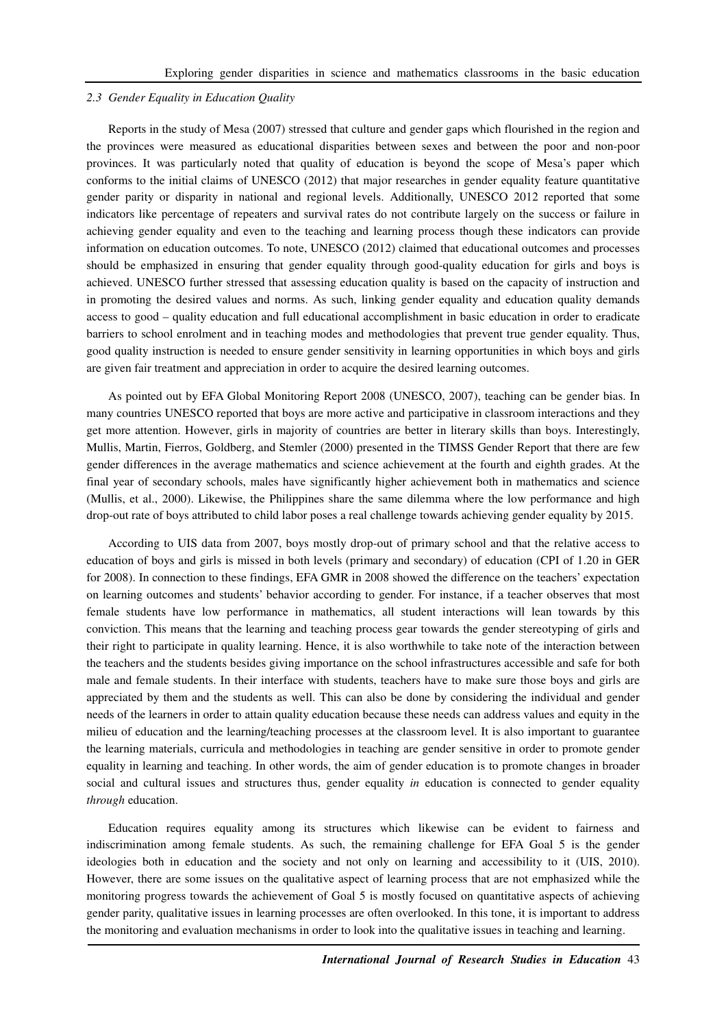#### *2.3 Gender Equality in Education Quality*

Reports in the study of Mesa (2007) stressed that culture and gender gaps which flourished in the region and the provinces were measured as educational disparities between sexes and between the poor and non-poor provinces. It was particularly noted that quality of education is beyond the scope of Mesa's paper which conforms to the initial claims of UNESCO (2012) that major researches in gender equality feature quantitative gender parity or disparity in national and regional levels. Additionally, UNESCO 2012 reported that some indicators like percentage of repeaters and survival rates do not contribute largely on the success or failure in achieving gender equality and even to the teaching and learning process though these indicators can provide information on education outcomes. To note, UNESCO (2012) claimed that educational outcomes and processes should be emphasized in ensuring that gender equality through good-quality education for girls and boys is achieved. UNESCO further stressed that assessing education quality is based on the capacity of instruction and in promoting the desired values and norms. As such, linking gender equality and education quality demands access to good – quality education and full educational accomplishment in basic education in order to eradicate barriers to school enrolment and in teaching modes and methodologies that prevent true gender equality. Thus, good quality instruction is needed to ensure gender sensitivity in learning opportunities in which boys and girls are given fair treatment and appreciation in order to acquire the desired learning outcomes.

As pointed out by EFA Global Monitoring Report 2008 (UNESCO, 2007), teaching can be gender bias. In many countries UNESCO reported that boys are more active and participative in classroom interactions and they get more attention. However, girls in majority of countries are better in literary skills than boys. Interestingly, Mullis, Martin, Fierros, Goldberg, and Stemler (2000) presented in the TIMSS Gender Report that there are few gender differences in the average mathematics and science achievement at the fourth and eighth grades. At the final year of secondary schools, males have significantly higher achievement both in mathematics and science (Mullis, et al., 2000). Likewise, the Philippines share the same dilemma where the low performance and high drop-out rate of boys attributed to child labor poses a real challenge towards achieving gender equality by 2015.

According to UIS data from 2007, boys mostly drop-out of primary school and that the relative access to education of boys and girls is missed in both levels (primary and secondary) of education (CPI of 1.20 in GER for 2008). In connection to these findings, EFA GMR in 2008 showed the difference on the teachers' expectation on learning outcomes and students' behavior according to gender. For instance, if a teacher observes that most female students have low performance in mathematics, all student interactions will lean towards by this conviction. This means that the learning and teaching process gear towards the gender stereotyping of girls and their right to participate in quality learning. Hence, it is also worthwhile to take note of the interaction between the teachers and the students besides giving importance on the school infrastructures accessible and safe for both male and female students. In their interface with students, teachers have to make sure those boys and girls are appreciated by them and the students as well. This can also be done by considering the individual and gender needs of the learners in order to attain quality education because these needs can address values and equity in the milieu of education and the learning/teaching processes at the classroom level. It is also important to guarantee the learning materials, curricula and methodologies in teaching are gender sensitive in order to promote gender equality in learning and teaching. In other words, the aim of gender education is to promote changes in broader social and cultural issues and structures thus, gender equality *in* education is connected to gender equality *through* education.

Education requires equality among its structures which likewise can be evident to fairness and indiscrimination among female students. As such, the remaining challenge for EFA Goal 5 is the gender ideologies both in education and the society and not only on learning and accessibility to it (UIS, 2010). However, there are some issues on the qualitative aspect of learning process that are not emphasized while the monitoring progress towards the achievement of Goal 5 is mostly focused on quantitative aspects of achieving gender parity, qualitative issues in learning processes are often overlooked. In this tone, it is important to address the monitoring and evaluation mechanisms in order to look into the qualitative issues in teaching and learning.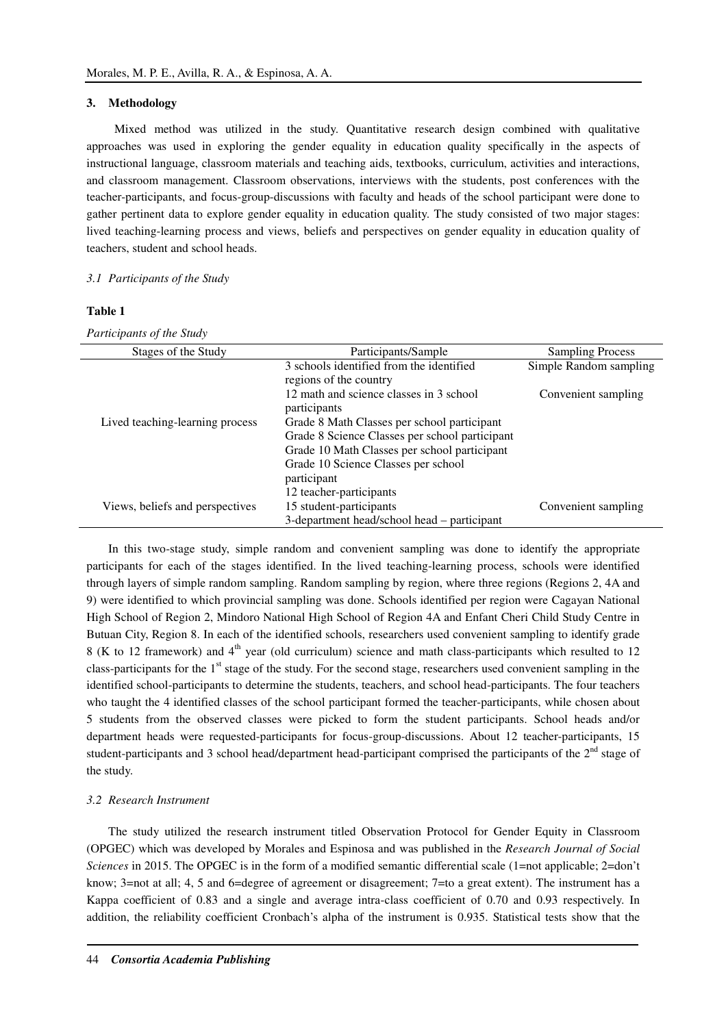### **3. Methodology**

 Mixed method was utilized in the study. Quantitative research design combined with qualitative approaches was used in exploring the gender equality in education quality specifically in the aspects of instructional language, classroom materials and teaching aids, textbooks, curriculum, activities and interactions, and classroom management. Classroom observations, interviews with the students, post conferences with the teacher-participants, and focus-group-discussions with faculty and heads of the school participant were done to gather pertinent data to explore gender equality in education quality. The study consisted of two major stages: lived teaching-learning process and views, beliefs and perspectives on gender equality in education quality of teachers, student and school heads.

#### *3.1 Participants of the Study*

#### **Table 1**

*Participants of the Study*

| Stages of the Study             | Participants/Sample                                     | <b>Sampling Process</b> |
|---------------------------------|---------------------------------------------------------|-------------------------|
|                                 | 3 schools identified from the identified                | Simple Random sampling  |
|                                 | regions of the country                                  |                         |
|                                 | 12 math and science classes in 3 school<br>participants | Convenient sampling     |
| Lived teaching-learning process | Grade 8 Math Classes per school participant             |                         |
|                                 | Grade 8 Science Classes per school participant          |                         |
|                                 | Grade 10 Math Classes per school participant            |                         |
|                                 | Grade 10 Science Classes per school                     |                         |
|                                 | participant                                             |                         |
|                                 | 12 teacher-participants                                 |                         |
| Views, beliefs and perspectives | 15 student-participants                                 | Convenient sampling     |
|                                 | 3-department head/school head – participant             |                         |

In this two-stage study, simple random and convenient sampling was done to identify the appropriate participants for each of the stages identified. In the lived teaching-learning process, schools were identified through layers of simple random sampling. Random sampling by region, where three regions (Regions 2, 4A and 9) were identified to which provincial sampling was done. Schools identified per region were Cagayan National High School of Region 2, Mindoro National High School of Region 4A and Enfant Cheri Child Study Centre in Butuan City, Region 8. In each of the identified schools, researchers used convenient sampling to identify grade 8 (K to 12 framework) and 4<sup>th</sup> year (old curriculum) science and math class-participants which resulted to 12 class-participants for the  $1<sup>st</sup>$  stage of the study. For the second stage, researchers used convenient sampling in the identified school-participants to determine the students, teachers, and school head-participants. The four teachers who taught the 4 identified classes of the school participant formed the teacher-participants, while chosen about 5 students from the observed classes were picked to form the student participants. School heads and/or department heads were requested-participants for focus-group-discussions. About 12 teacher-participants, 15 student-participants and 3 school head/department head-participant comprised the participants of the  $2<sup>nd</sup>$  stage of the study.

#### *3.2 Research Instrument*

The study utilized the research instrument titled Observation Protocol for Gender Equity in Classroom (OPGEC) which was developed by Morales and Espinosa and was published in the *Research Journal of Social Sciences* in 2015. The OPGEC is in the form of a modified semantic differential scale (1=not applicable; 2=don't know; 3=not at all; 4, 5 and 6=degree of agreement or disagreement; 7=to a great extent). The instrument has a Kappa coefficient of 0.83 and a single and average intra-class coefficient of 0.70 and 0.93 respectively. In addition, the reliability coefficient Cronbach's alpha of the instrument is 0.935. Statistical tests show that the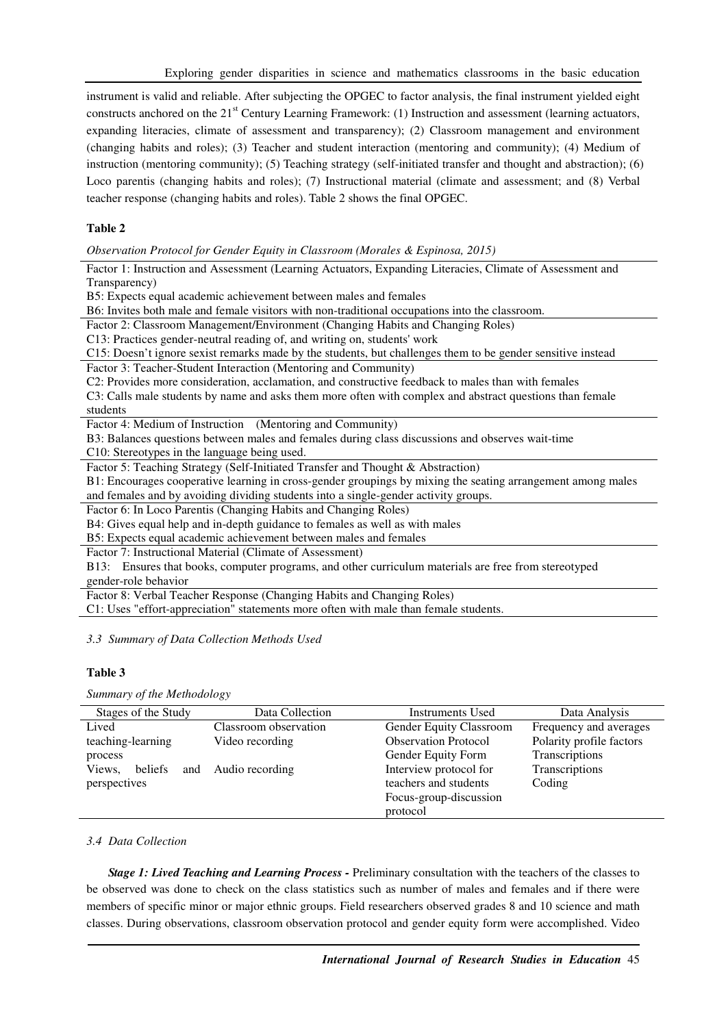instrument is valid and reliable. After subjecting the OPGEC to factor analysis, the final instrument yielded eight constructs anchored on the 21<sup>st</sup> Century Learning Framework: (1) Instruction and assessment (learning actuators, expanding literacies, climate of assessment and transparency); (2) Classroom management and environment (changing habits and roles); (3) Teacher and student interaction (mentoring and community); (4) Medium of instruction (mentoring community); (5) Teaching strategy (self-initiated transfer and thought and abstraction); (6) Loco parentis (changing habits and roles); (7) Instructional material (climate and assessment; and (8) Verbal teacher response (changing habits and roles). Table 2 shows the final OPGEC.

# **Table 2**

*Observation Protocol for Gender Equity in Classroom (Morales & Espinosa, 2015)* 

| Factor 1: Instruction and Assessment (Learning Actuators, Expanding Literacies, Climate of Assessment and<br>Transparency) |
|----------------------------------------------------------------------------------------------------------------------------|
| B5: Expects equal academic achievement between males and females                                                           |
| B6: Invites both male and female visitors with non-traditional occupations into the classroom.                             |
| Factor 2: Classroom Management/Environment (Changing Habits and Changing Roles)                                            |
| C13: Practices gender-neutral reading of, and writing on, students' work                                                   |
| C15: Doesn't ignore sexist remarks made by the students, but challenges them to be gender sensitive instead                |
| Factor 3: Teacher-Student Interaction (Mentoring and Community)                                                            |
| C2: Provides more consideration, acclamation, and constructive feedback to males than with females                         |
| C3: Calls male students by name and asks them more often with complex and abstract questions than female                   |
| students                                                                                                                   |
| Factor 4: Medium of Instruction (Mentoring and Community)                                                                  |
| B3: Balances questions between males and females during class discussions and observes wait-time                           |
| C10: Stereotypes in the language being used.                                                                               |
| Factor 5: Teaching Strategy (Self-Initiated Transfer and Thought & Abstraction)                                            |
| B1: Encourages cooperative learning in cross-gender groupings by mixing the seating arrangement among males                |
| and females and by avoiding dividing students into a single-gender activity groups.                                        |
| Factor 6: In Loco Parentis (Changing Habits and Changing Roles)                                                            |
| B4: Gives equal help and in-depth guidance to females as well as with males                                                |
| B5: Expects equal academic achievement between males and females                                                           |
| Factor 7: Instructional Material (Climate of Assessment)                                                                   |
| B13: Ensures that books, computer programs, and other curriculum materials are free from stereotyped                       |
| gender-role behavior                                                                                                       |
| Factor 8: Verbal Teacher Response (Changing Habits and Changing Roles)                                                     |
| C1: Uses "effort-appreciation" statements more often with male than female students.                                       |

*3.3 Summary of Data Collection Methods Used* 

## **Table 3**

*Summary of the Methodology* 

| Stages of the Study | Data Collection       | Instruments Used            | Data Analysis            |
|---------------------|-----------------------|-----------------------------|--------------------------|
| Lived               | Classroom observation | Gender Equity Classroom     | Frequency and averages   |
| teaching-learning   | Video recording       | <b>Observation Protocol</b> | Polarity profile factors |
| process             |                       | Gender Equity Form          | Transcriptions           |
| Views,<br>beliefs   | and Audio recording   | Interview protocol for      | Transcriptions           |
| perspectives        |                       | teachers and students       | Coding                   |
|                     |                       | Focus-group-discussion      |                          |
|                     |                       | protocol                    |                          |

### *3.4 Data Collection*

*Stage 1: Lived Teaching and Learning Process - Preliminary consultation with the teachers of the classes to* be observed was done to check on the class statistics such as number of males and females and if there were members of specific minor or major ethnic groups. Field researchers observed grades 8 and 10 science and math classes. During observations, classroom observation protocol and gender equity form were accomplished. Video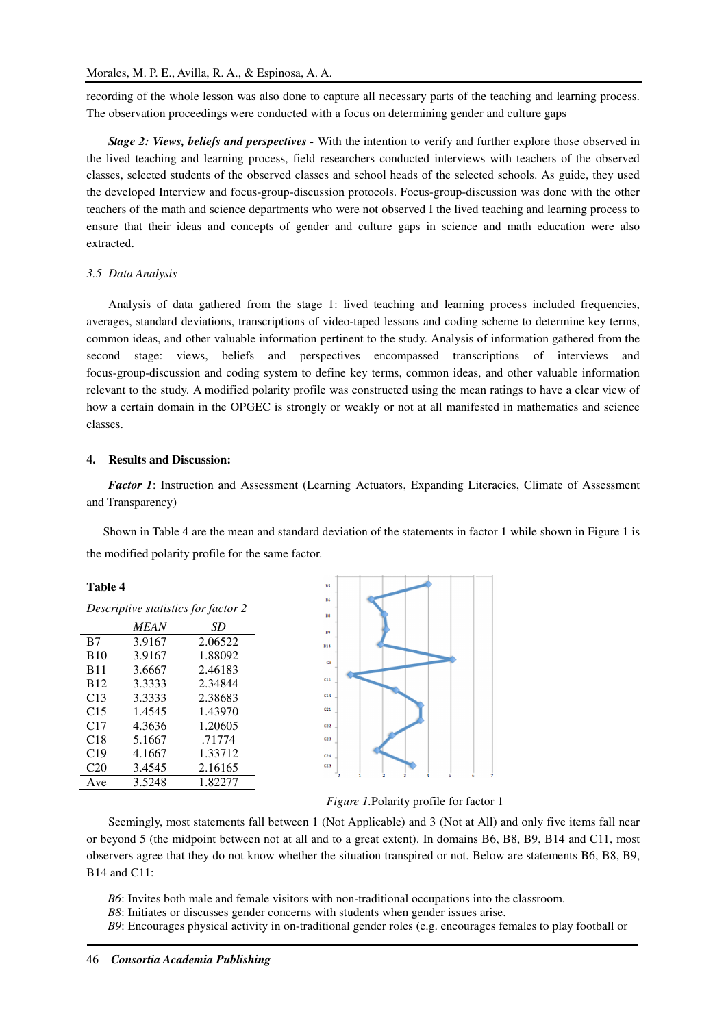recording of the whole lesson was also done to capture all necessary parts of the teaching and learning process. The observation proceedings were conducted with a focus on determining gender and culture gaps

*Stage 2: Views, beliefs and perspectives -* With the intention to verify and further explore those observed in the lived teaching and learning process, field researchers conducted interviews with teachers of the observed classes, selected students of the observed classes and school heads of the selected schools. As guide, they used the developed Interview and focus-group-discussion protocols. Focus-group-discussion was done with the other teachers of the math and science departments who were not observed I the lived teaching and learning process to ensure that their ideas and concepts of gender and culture gaps in science and math education were also extracted.

#### *3.5 Data Analysis*

Analysis of data gathered from the stage 1: lived teaching and learning process included frequencies, averages, standard deviations, transcriptions of video-taped lessons and coding scheme to determine key terms, common ideas, and other valuable information pertinent to the study. Analysis of information gathered from the second stage: views, beliefs and perspectives encompassed transcriptions of interviews and focus-group-discussion and coding system to define key terms, common ideas, and other valuable information relevant to the study. A modified polarity profile was constructed using the mean ratings to have a clear view of how a certain domain in the OPGEC is strongly or weakly or not at all manifested in mathematics and science classes.

# **4. Results and Discussion:**

*Factor 1*: Instruction and Assessment (Learning Actuators, Expanding Literacies, Climate of Assessment and Transparency)

Shown in Table 4 are the mean and standard deviation of the statements in factor 1 while shown in Figure 1 is the modified polarity profile for the same factor.

# **Table 4**

| Descriptive statistics for factor 2 |             |         |  |
|-------------------------------------|-------------|---------|--|
|                                     | <i>MEAN</i> | SD      |  |
| B7                                  | 3.9167      | 2.06522 |  |
| <b>B</b> 10                         | 3.9167      | 1.88092 |  |
| <b>B11</b>                          | 3.6667      | 2.46183 |  |
| <b>B</b> 12                         | 3.3333      | 2.34844 |  |
| C13                                 | 3.3333      | 2.38683 |  |
| C15                                 | 1.4545      | 1.43970 |  |
| C17                                 | 4.3636      | 1.20605 |  |
| C18                                 | 5.1667      | .71774  |  |
| C19                                 | 4.1667      | 1.33712 |  |
| C20                                 | 3.4545      | 2.16165 |  |
| Ave                                 | 3.5248      | 1.82277 |  |



*Figure 1.*Polarity profile for factor 1

Seemingly, most statements fall between 1 (Not Applicable) and 3 (Not at All) and only five items fall near or beyond 5 (the midpoint between not at all and to a great extent). In domains B6, B8, B9, B14 and C11, most observers agree that they do not know whether the situation transpired or not. Below are statements B6, B8, B9, B14 and C11:

*B6*: Invites both male and female visitors with non-traditional occupations into the classroom.

*B8*: Initiates or discusses gender concerns with students when gender issues arise.

*B9*: Encourages physical activity in on-traditional gender roles (e.g. encourages females to play football or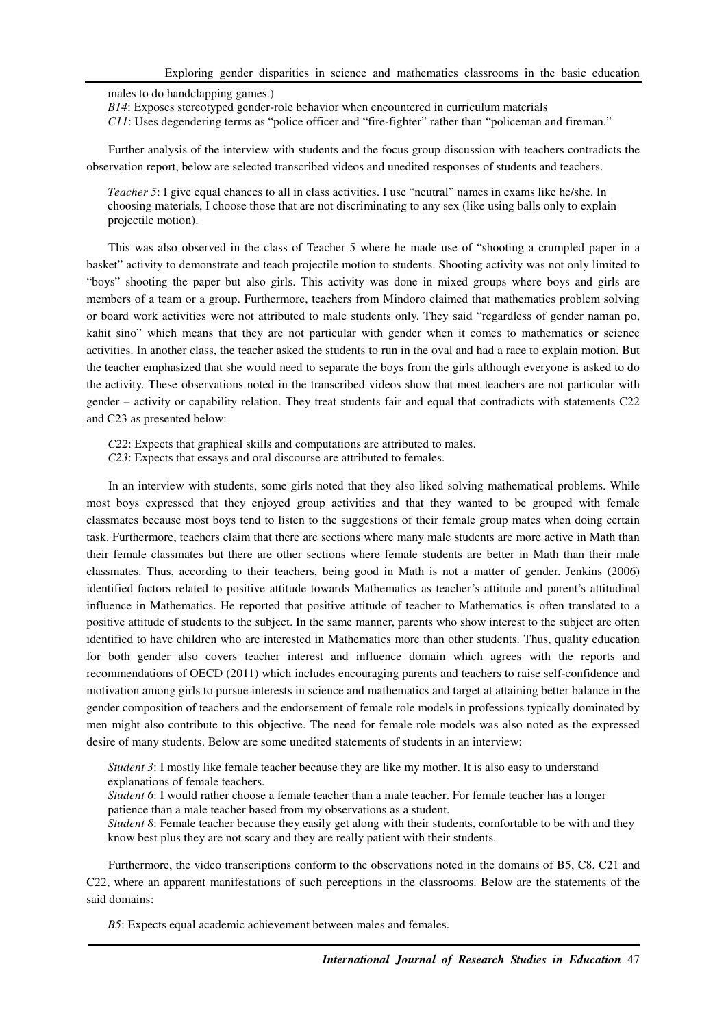males to do handclapping games.)

*B14*: Exposes stereotyped gender-role behavior when encountered in curriculum materials

*C11*: Uses degendering terms as "police officer and "fire-fighter" rather than "policeman and fireman."

Further analysis of the interview with students and the focus group discussion with teachers contradicts the observation report, below are selected transcribed videos and unedited responses of students and teachers.

*Teacher 5*: I give equal chances to all in class activities. I use "neutral" names in exams like he/she. In choosing materials, I choose those that are not discriminating to any sex (like using balls only to explain projectile motion).

This was also observed in the class of Teacher 5 where he made use of "shooting a crumpled paper in a basket" activity to demonstrate and teach projectile motion to students. Shooting activity was not only limited to "boys" shooting the paper but also girls. This activity was done in mixed groups where boys and girls are members of a team or a group. Furthermore, teachers from Mindoro claimed that mathematics problem solving or board work activities were not attributed to male students only. They said "regardless of gender naman po, kahit sino" which means that they are not particular with gender when it comes to mathematics or science activities. In another class, the teacher asked the students to run in the oval and had a race to explain motion. But the teacher emphasized that she would need to separate the boys from the girls although everyone is asked to do the activity. These observations noted in the transcribed videos show that most teachers are not particular with gender – activity or capability relation. They treat students fair and equal that contradicts with statements C22 and C23 as presented below:

*C22*: Expects that graphical skills and computations are attributed to males.

*C23*: Expects that essays and oral discourse are attributed to females.

In an interview with students, some girls noted that they also liked solving mathematical problems. While most boys expressed that they enjoyed group activities and that they wanted to be grouped with female classmates because most boys tend to listen to the suggestions of their female group mates when doing certain task. Furthermore, teachers claim that there are sections where many male students are more active in Math than their female classmates but there are other sections where female students are better in Math than their male classmates. Thus, according to their teachers, being good in Math is not a matter of gender. Jenkins (2006) identified factors related to positive attitude towards Mathematics as teacher's attitude and parent's attitudinal influence in Mathematics. He reported that positive attitude of teacher to Mathematics is often translated to a positive attitude of students to the subject. In the same manner, parents who show interest to the subject are often identified to have children who are interested in Mathematics more than other students. Thus, quality education for both gender also covers teacher interest and influence domain which agrees with the reports and recommendations of OECD (2011) which includes encouraging parents and teachers to raise self-confidence and motivation among girls to pursue interests in science and mathematics and target at attaining better balance in the gender composition of teachers and the endorsement of female role models in professions typically dominated by men might also contribute to this objective. The need for female role models was also noted as the expressed desire of many students. Below are some unedited statements of students in an interview:

*Student 3*: I mostly like female teacher because they are like my mother. It is also easy to understand explanations of female teachers.

*Student 6*: I would rather choose a female teacher than a male teacher. For female teacher has a longer patience than a male teacher based from my observations as a student.

*Student 8*: Female teacher because they easily get along with their students, comfortable to be with and they know best plus they are not scary and they are really patient with their students.

Furthermore, the video transcriptions conform to the observations noted in the domains of B5, C8, C21 and C22, where an apparent manifestations of such perceptions in the classrooms. Below are the statements of the said domains:

*B5*: Expects equal academic achievement between males and females.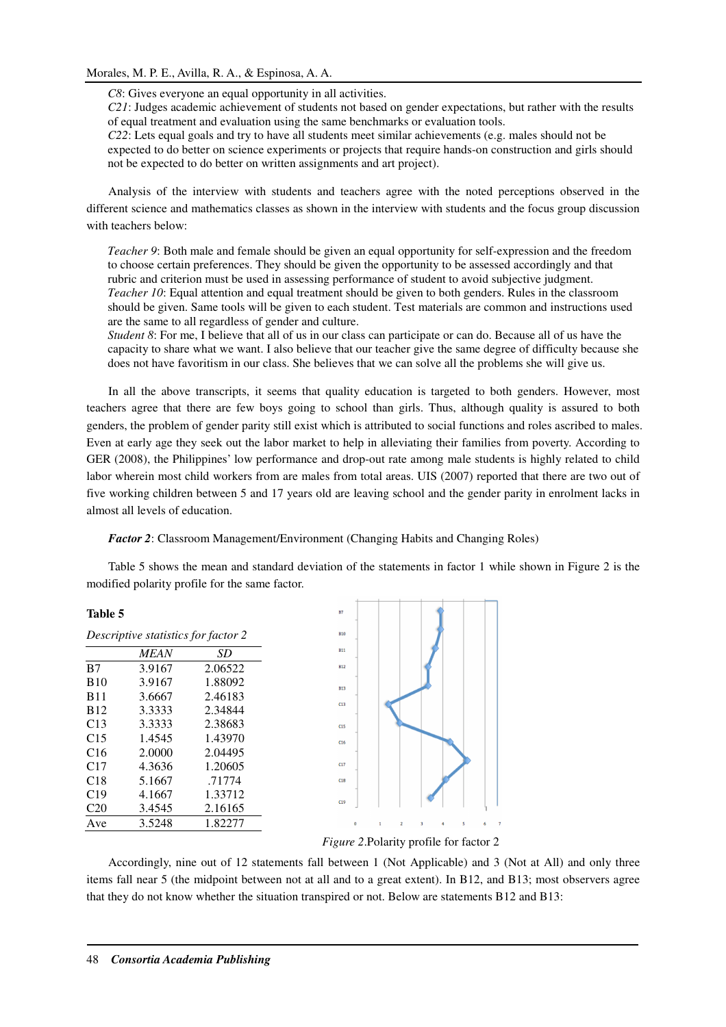*C8*: Gives everyone an equal opportunity in all activities.

*C21*: Judges academic achievement of students not based on gender expectations, but rather with the results of equal treatment and evaluation using the same benchmarks or evaluation tools.

*C22*: Lets equal goals and try to have all students meet similar achievements (e.g. males should not be expected to do better on science experiments or projects that require hands-on construction and girls should not be expected to do better on written assignments and art project).

Analysis of the interview with students and teachers agree with the noted perceptions observed in the different science and mathematics classes as shown in the interview with students and the focus group discussion with teachers below:

*Teacher 9*: Both male and female should be given an equal opportunity for self-expression and the freedom to choose certain preferences. They should be given the opportunity to be assessed accordingly and that rubric and criterion must be used in assessing performance of student to avoid subjective judgment. *Teacher 10*: Equal attention and equal treatment should be given to both genders. Rules in the classroom should be given. Same tools will be given to each student. Test materials are common and instructions used are the same to all regardless of gender and culture.

*Student 8*: For me, I believe that all of us in our class can participate or can do. Because all of us have the capacity to share what we want. I also believe that our teacher give the same degree of difficulty because she does not have favoritism in our class. She believes that we can solve all the problems she will give us.

In all the above transcripts, it seems that quality education is targeted to both genders. However, most teachers agree that there are few boys going to school than girls. Thus, although quality is assured to both genders, the problem of gender parity still exist which is attributed to social functions and roles ascribed to males. Even at early age they seek out the labor market to help in alleviating their families from poverty. According to GER (2008), the Philippines' low performance and drop-out rate among male students is highly related to child labor wherein most child workers from are males from total areas. UIS (2007) reported that there are two out of five working children between 5 and 17 years old are leaving school and the gender parity in enrolment lacks in almost all levels of education.

*Factor 2*: Classroom Management/Environment (Changing Habits and Changing Roles)

Table 5 shows the mean and standard deviation of the statements in factor 1 while shown in Figure 2 is the modified polarity profile for the same factor.

| Table 5         |                                            |         |
|-----------------|--------------------------------------------|---------|
|                 | <i>Descriptive statistics for factor 2</i> |         |
|                 | <i>MEAN</i>                                | SD      |
| B7              | 3.9167                                     | 2.06522 |
| <b>B</b> 10     | 3.9167                                     | 1.88092 |
| <b>B</b> 11     | 3.6667                                     | 2.46183 |
| B <sub>12</sub> | 3.3333                                     | 2.34844 |
| C13             | 3.3333                                     | 2.38683 |
| C <sub>15</sub> | 1.4545                                     | 1.43970 |
| C16             | 2.0000                                     | 2.04495 |
| C17             | 4.3636                                     | 1.20605 |
| C <sub>18</sub> | 5.1667                                     | .71774  |
| C19             | 4.1667                                     | 1.33712 |
| C <sub>20</sub> | 3.4545                                     | 2.16165 |
| Ave             | 3.5248                                     | 1.82277 |



*Figure 2*.Polarity profile for factor 2

Accordingly, nine out of 12 statements fall between 1 (Not Applicable) and 3 (Not at All) and only three items fall near 5 (the midpoint between not at all and to a great extent). In B12, and B13; most observers agree that they do not know whether the situation transpired or not. Below are statements B12 and B13: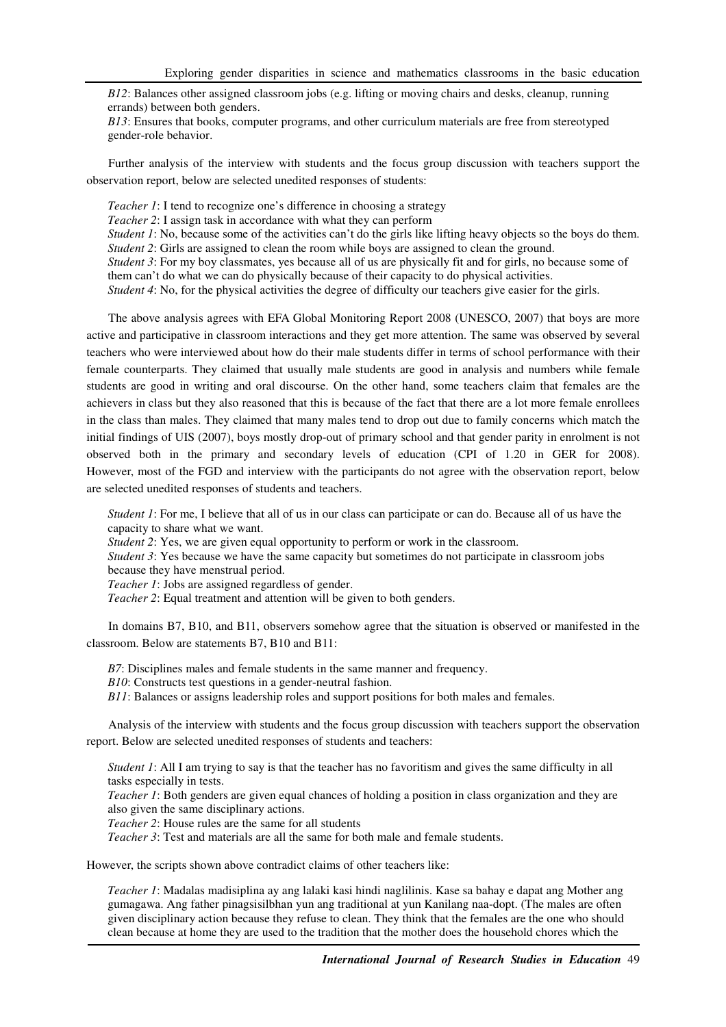*B12*: Balances other assigned classroom jobs (e.g. lifting or moving chairs and desks, cleanup, running errands) between both genders.

*B13*: Ensures that books, computer programs, and other curriculum materials are free from stereotyped gender-role behavior.

Further analysis of the interview with students and the focus group discussion with teachers support the observation report, below are selected unedited responses of students:

*Teacher 1*: I tend to recognize one's difference in choosing a strategy *Teacher 2*: I assign task in accordance with what they can perform *Student 1*: No, because some of the activities can't do the girls like lifting heavy objects so the boys do them. *Student 2*: Girls are assigned to clean the room while boys are assigned to clean the ground. *Student 3*: For my boy classmates, yes because all of us are physically fit and for girls, no because some of them can't do what we can do physically because of their capacity to do physical activities. *Student 4*: No, for the physical activities the degree of difficulty our teachers give easier for the girls.

The above analysis agrees with EFA Global Monitoring Report 2008 (UNESCO, 2007) that boys are more active and participative in classroom interactions and they get more attention. The same was observed by several teachers who were interviewed about how do their male students differ in terms of school performance with their female counterparts. They claimed that usually male students are good in analysis and numbers while female students are good in writing and oral discourse. On the other hand, some teachers claim that females are the achievers in class but they also reasoned that this is because of the fact that there are a lot more female enrollees in the class than males. They claimed that many males tend to drop out due to family concerns which match the initial findings of UIS (2007), boys mostly drop-out of primary school and that gender parity in enrolment is not observed both in the primary and secondary levels of education (CPI of 1.20 in GER for 2008). However, most of the FGD and interview with the participants do not agree with the observation report, below are selected unedited responses of students and teachers.

*Student 1*: For me, I believe that all of us in our class can participate or can do. Because all of us have the capacity to share what we want.

*Student 2*: Yes, we are given equal opportunity to perform or work in the classroom.

*Student 3*: Yes because we have the same capacity but sometimes do not participate in classroom jobs because they have menstrual period.

*Teacher 1*: Jobs are assigned regardless of gender.

*Teacher 2*: Equal treatment and attention will be given to both genders.

In domains B7, B10, and B11, observers somehow agree that the situation is observed or manifested in the classroom. Below are statements B7, B10 and B11:

*B7*: Disciplines males and female students in the same manner and frequency.

*B10*: Constructs test questions in a gender-neutral fashion.

*B11*: Balances or assigns leadership roles and support positions for both males and females.

Analysis of the interview with students and the focus group discussion with teachers support the observation report. Below are selected unedited responses of students and teachers:

*Student 1*: All I am trying to say is that the teacher has no favoritism and gives the same difficulty in all tasks especially in tests.

*Teacher 1*: Both genders are given equal chances of holding a position in class organization and they are also given the same disciplinary actions.

*Teacher 2*: House rules are the same for all students

*Teacher 3*: Test and materials are all the same for both male and female students.

However, the scripts shown above contradict claims of other teachers like:

*Teacher 1*: Madalas madisiplina ay ang lalaki kasi hindi naglilinis. Kase sa bahay e dapat ang Mother ang gumagawa. Ang father pinagsisilbhan yun ang traditional at yun Kanilang naa-dopt. (The males are often given disciplinary action because they refuse to clean. They think that the females are the one who should clean because at home they are used to the tradition that the mother does the household chores which the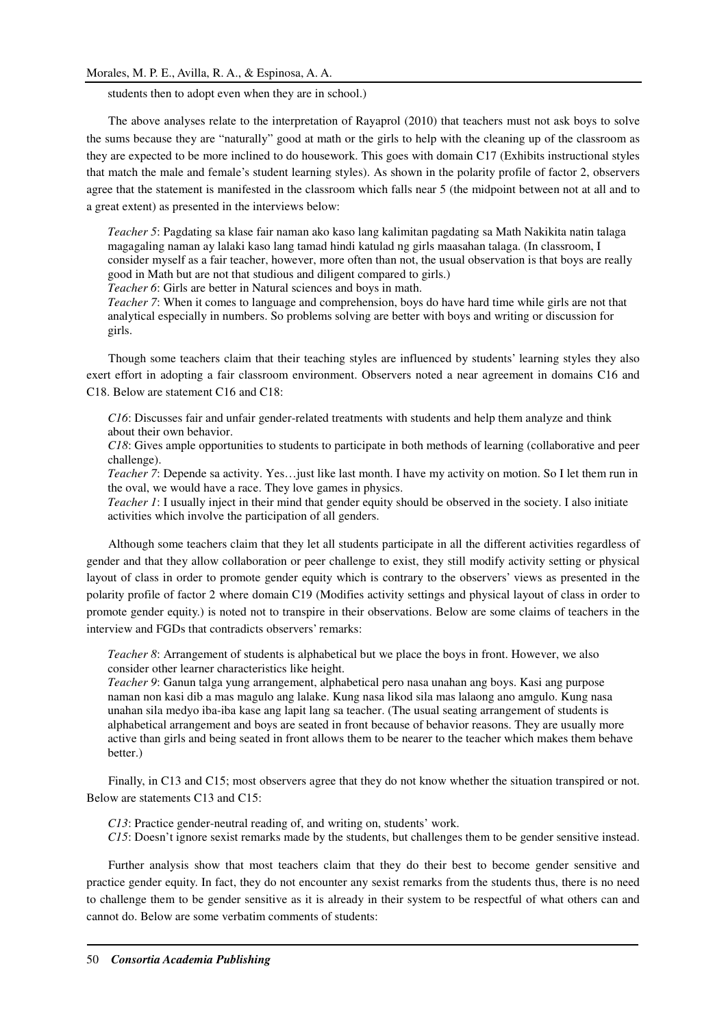students then to adopt even when they are in school.)

The above analyses relate to the interpretation of Rayaprol (2010) that teachers must not ask boys to solve the sums because they are "naturally" good at math or the girls to help with the cleaning up of the classroom as they are expected to be more inclined to do housework. This goes with domain C17 (Exhibits instructional styles that match the male and female's student learning styles). As shown in the polarity profile of factor 2, observers agree that the statement is manifested in the classroom which falls near 5 (the midpoint between not at all and to a great extent) as presented in the interviews below:

*Teacher 5*: Pagdating sa klase fair naman ako kaso lang kalimitan pagdating sa Math Nakikita natin talaga magagaling naman ay lalaki kaso lang tamad hindi katulad ng girls maasahan talaga. (In classroom, I consider myself as a fair teacher, however, more often than not, the usual observation is that boys are really good in Math but are not that studious and diligent compared to girls.) *Teacher 6*: Girls are better in Natural sciences and boys in math.

*Teacher 7*: When it comes to language and comprehension, boys do have hard time while girls are not that analytical especially in numbers. So problems solving are better with boys and writing or discussion for girls.

Though some teachers claim that their teaching styles are influenced by students' learning styles they also exert effort in adopting a fair classroom environment. Observers noted a near agreement in domains C16 and C18. Below are statement C16 and C18:

*C16*: Discusses fair and unfair gender-related treatments with students and help them analyze and think about their own behavior.

*C18*: Gives ample opportunities to students to participate in both methods of learning (collaborative and peer challenge).

*Teacher 7*: Depende sa activity. Yes…just like last month. I have my activity on motion. So I let them run in the oval, we would have a race. They love games in physics.

*Teacher 1*: I usually inject in their mind that gender equity should be observed in the society. I also initiate activities which involve the participation of all genders.

Although some teachers claim that they let all students participate in all the different activities regardless of gender and that they allow collaboration or peer challenge to exist, they still modify activity setting or physical layout of class in order to promote gender equity which is contrary to the observers' views as presented in the polarity profile of factor 2 where domain C19 (Modifies activity settings and physical layout of class in order to promote gender equity.) is noted not to transpire in their observations. Below are some claims of teachers in the interview and FGDs that contradicts observers' remarks:

*Teacher 8*: Arrangement of students is alphabetical but we place the boys in front. However, we also consider other learner characteristics like height.

*Teacher 9*: Ganun talga yung arrangement, alphabetical pero nasa unahan ang boys. Kasi ang purpose naman non kasi dib a mas magulo ang lalake. Kung nasa likod sila mas lalaong ano amgulo. Kung nasa unahan sila medyo iba-iba kase ang lapit lang sa teacher. (The usual seating arrangement of students is alphabetical arrangement and boys are seated in front because of behavior reasons. They are usually more active than girls and being seated in front allows them to be nearer to the teacher which makes them behave better.)

Finally, in C13 and C15; most observers agree that they do not know whether the situation transpired or not. Below are statements C13 and C15:

*C13*: Practice gender-neutral reading of, and writing on, students' work.

*C15*: Doesn't ignore sexist remarks made by the students, but challenges them to be gender sensitive instead.

Further analysis show that most teachers claim that they do their best to become gender sensitive and practice gender equity. In fact, they do not encounter any sexist remarks from the students thus, there is no need to challenge them to be gender sensitive as it is already in their system to be respectful of what others can and cannot do. Below are some verbatim comments of students: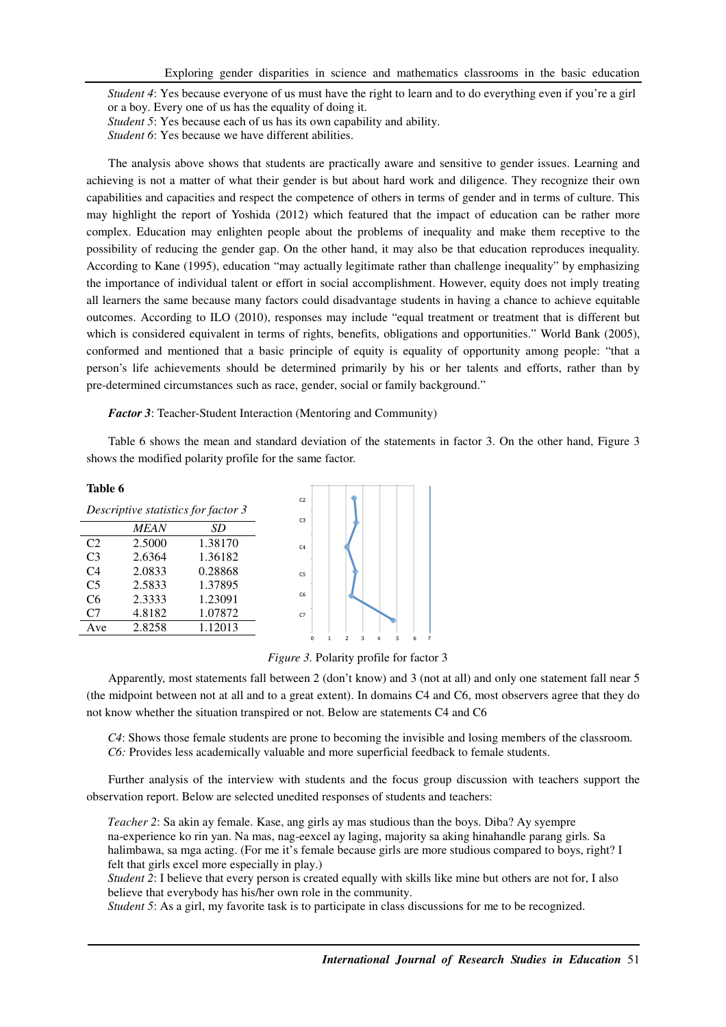*Student 4*: Yes because everyone of us must have the right to learn and to do everything even if you're a girl or a boy. Every one of us has the equality of doing it.

*Student 5*: Yes because each of us has its own capability and ability.

*Student 6*: Yes because we have different abilities.

The analysis above shows that students are practically aware and sensitive to gender issues. Learning and achieving is not a matter of what their gender is but about hard work and diligence. They recognize their own capabilities and capacities and respect the competence of others in terms of gender and in terms of culture. This may highlight the report of Yoshida (2012) which featured that the impact of education can be rather more complex. Education may enlighten people about the problems of inequality and make them receptive to the possibility of reducing the gender gap. On the other hand, it may also be that education reproduces inequality. According to Kane (1995), education "may actually legitimate rather than challenge inequality" by emphasizing the importance of individual talent or effort in social accomplishment. However, equity does not imply treating all learners the same because many factors could disadvantage students in having a chance to achieve equitable outcomes. According to ILO (2010), responses may include "equal treatment or treatment that is different but which is considered equivalent in terms of rights, benefits, obligations and opportunities." World Bank (2005), conformed and mentioned that a basic principle of equity is equality of opportunity among people: "that a person's life achievements should be determined primarily by his or her talents and efforts, rather than by pre-determined circumstances such as race, gender, social or family background."

*Factor 3*: Teacher-Student Interaction (Mentoring and Community)

Table 6 shows the mean and standard deviation of the statements in factor 3. On the other hand, Figure 3 shows the modified polarity profile for the same factor.

| l'able |  |
|--------|--|
|--------|--|

| Table 6        |             |                                     |                                  |                                    |  |
|----------------|-------------|-------------------------------------|----------------------------------|------------------------------------|--|
|                |             | Descriptive statistics for factor 3 | C <sub>2</sub><br>C <sub>3</sub> |                                    |  |
|                | <i>MEAN</i> | SD                                  |                                  |                                    |  |
| C <sub>2</sub> | 2.5000      | 1.38170                             | C <sub>4</sub>                   |                                    |  |
| C <sub>3</sub> | 2.6364      | 1.36182                             |                                  |                                    |  |
| C <sub>4</sub> | 2.0833      | 0.28868                             | C <sub>5</sub>                   |                                    |  |
| C <sub>5</sub> | 2.5833      | 1.37895                             |                                  |                                    |  |
| C6             | 2.3333      | 1.23091                             | C6                               |                                    |  |
| C <sub>7</sub> | 4.8182      | 1.07872                             | C <sub>7</sub>                   |                                    |  |
| Ave            | 2.8258      | 1.12013                             |                                  |                                    |  |
|                |             |                                     | n                                | $\overline{ }$<br>к<br>R<br>4<br>6 |  |



Apparently, most statements fall between 2 (don't know) and 3 (not at all) and only one statement fall near 5 (the midpoint between not at all and to a great extent). In domains C4 and C6, most observers agree that they do not know whether the situation transpired or not. Below are statements C4 and C6

*C4*: Shows those female students are prone to becoming the invisible and losing members of the classroom. *C6:* Provides less academically valuable and more superficial feedback to female students.

Further analysis of the interview with students and the focus group discussion with teachers support the observation report. Below are selected unedited responses of students and teachers:

*Teacher 2*: Sa akin ay female. Kase, ang girls ay mas studious than the boys. Diba? Ay syempre na-experience ko rin yan. Na mas, nag-eexcel ay laging, majority sa aking hinahandle parang girls. Sa halimbawa, sa mga acting. (For me it's female because girls are more studious compared to boys, right? I felt that girls excel more especially in play.)

*Student 2*: I believe that every person is created equally with skills like mine but others are not for, I also believe that everybody has his/her own role in the community.

*Student 5*: As a girl, my favorite task is to participate in class discussions for me to be recognized.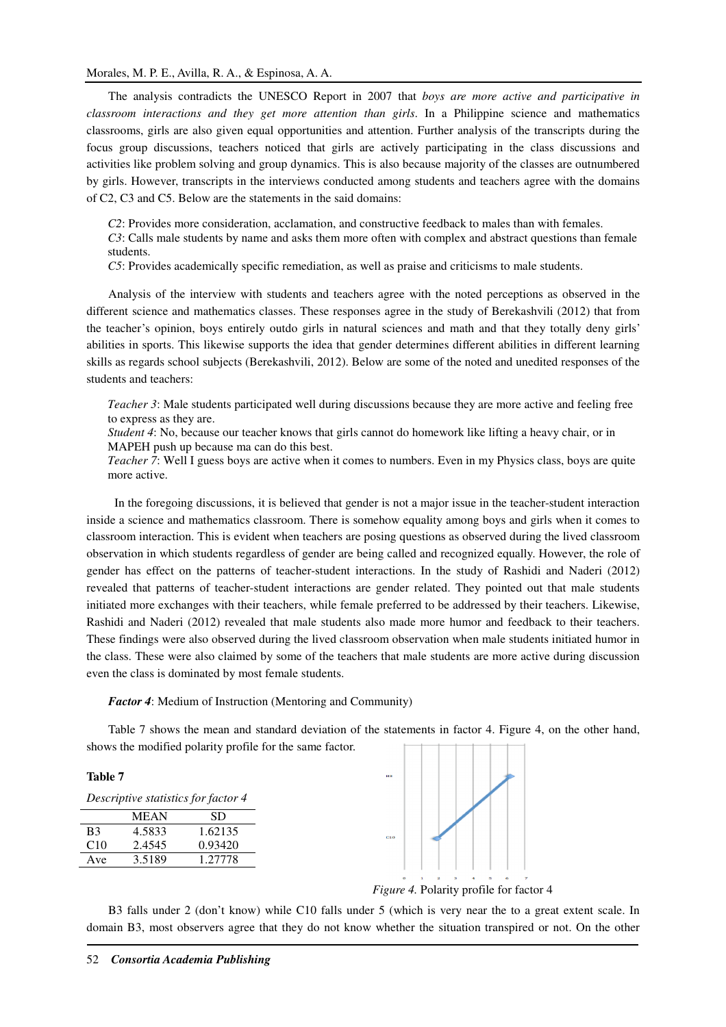The analysis contradicts the UNESCO Report in 2007 that *boys are more active and participative in classroom interactions and they get more attention than girls*. In a Philippine science and mathematics classrooms, girls are also given equal opportunities and attention. Further analysis of the transcripts during the focus group discussions, teachers noticed that girls are actively participating in the class discussions and activities like problem solving and group dynamics. This is also because majority of the classes are outnumbered by girls. However, transcripts in the interviews conducted among students and teachers agree with the domains of C2, C3 and C5. Below are the statements in the said domains:

*C2*: Provides more consideration, acclamation, and constructive feedback to males than with females.

*C3*: Calls male students by name and asks them more often with complex and abstract questions than female students.

*C5*: Provides academically specific remediation, as well as praise and criticisms to male students.

Analysis of the interview with students and teachers agree with the noted perceptions as observed in the different science and mathematics classes. These responses agree in the study of Berekashvili (2012) that from the teacher's opinion, boys entirely outdo girls in natural sciences and math and that they totally deny girls' abilities in sports. This likewise supports the idea that gender determines different abilities in different learning skills as regards school subjects (Berekashvili, 2012). Below are some of the noted and unedited responses of the students and teachers:

*Teacher 3*: Male students participated well during discussions because they are more active and feeling free to express as they are.

*Student 4*: No, because our teacher knows that girls cannot do homework like lifting a heavy chair, or in MAPEH push up because ma can do this best.

*Teacher 7*: Well I guess boys are active when it comes to numbers. Even in my Physics class, boys are quite more active.

 In the foregoing discussions, it is believed that gender is not a major issue in the teacher-student interaction inside a science and mathematics classroom. There is somehow equality among boys and girls when it comes to classroom interaction. This is evident when teachers are posing questions as observed during the lived classroom observation in which students regardless of gender are being called and recognized equally. However, the role of gender has effect on the patterns of teacher-student interactions. In the study of Rashidi and Naderi (2012) revealed that patterns of teacher-student interactions are gender related. They pointed out that male students initiated more exchanges with their teachers, while female preferred to be addressed by their teachers. Likewise, Rashidi and Naderi (2012) revealed that male students also made more humor and feedback to their teachers. These findings were also observed during the lived classroom observation when male students initiated humor in the class. These were also claimed by some of the teachers that male students are more active during discussion even the class is dominated by most female students.

### *Factor 4*: Medium of Instruction (Mentoring and Community)

Table 7 shows the mean and standard deviation of the statements in factor 4. Figure 4, on the other hand, shows the modified polarity profile for the same factor.

## **Table 7**

| Descriptive statistics for factor 4 |             |         |  |
|-------------------------------------|-------------|---------|--|
|                                     | <b>MEAN</b> | SD.     |  |
| B <sub>3</sub>                      | 4.5833      | 1.62135 |  |
| C10                                 | 2.4545      | 0.93420 |  |
| Ave                                 | 3.5189      | 1.27778 |  |



*Figure 4.* Polarity profile for factor 4

B3 falls under 2 (don't know) while C10 falls under 5 (which is very near the to a great extent scale. In domain B3, most observers agree that they do not know whether the situation transpired or not. On the other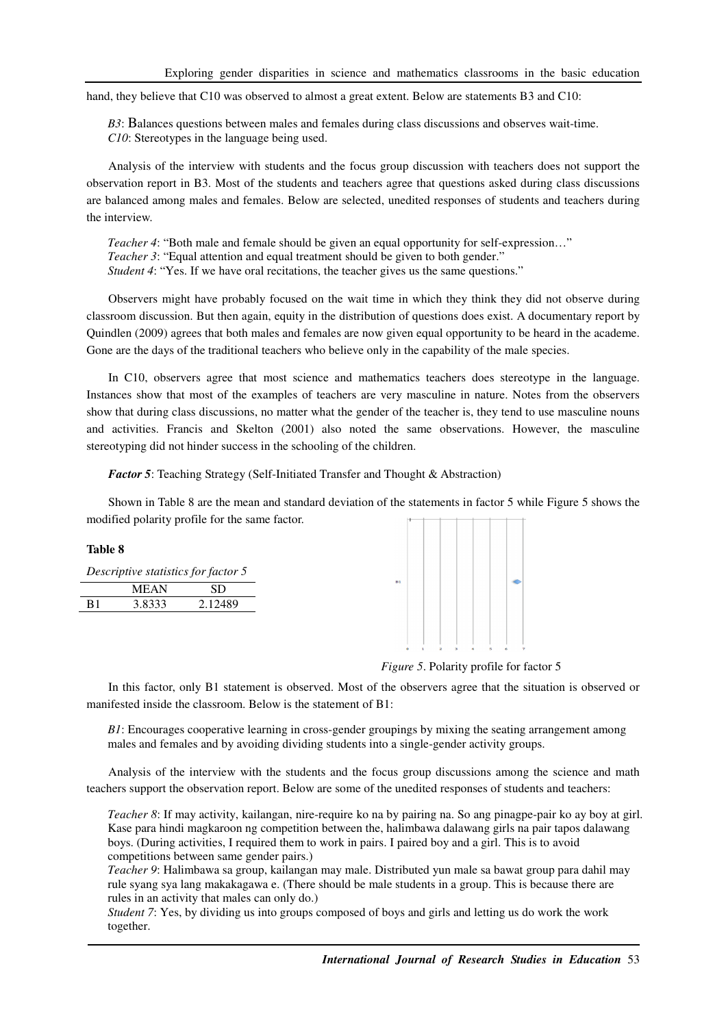hand, they believe that C10 was observed to almost a great extent. Below are statements B3 and C10:

*B3*: Balances questions between males and females during class discussions and observes wait-time. *C10*: Stereotypes in the language being used.

Analysis of the interview with students and the focus group discussion with teachers does not support the observation report in B3. Most of the students and teachers agree that questions asked during class discussions are balanced among males and females. Below are selected, unedited responses of students and teachers during the interview.

*Teacher 4*: "Both male and female should be given an equal opportunity for self-expression…" *Teacher 3*: "Equal attention and equal treatment should be given to both gender." *Student 4*: "Yes. If we have oral recitations, the teacher gives us the same questions."

Observers might have probably focused on the wait time in which they think they did not observe during classroom discussion. But then again, equity in the distribution of questions does exist. A documentary report by Quindlen (2009) agrees that both males and females are now given equal opportunity to be heard in the academe. Gone are the days of the traditional teachers who believe only in the capability of the male species.

In C10, observers agree that most science and mathematics teachers does stereotype in the language. Instances show that most of the examples of teachers are very masculine in nature. Notes from the observers show that during class discussions, no matter what the gender of the teacher is, they tend to use masculine nouns and activities. Francis and Skelton (2001) also noted the same observations. However, the masculine stereotyping did not hinder success in the schooling of the children.

*Factor 5*: Teaching Strategy (Self-Initiated Transfer and Thought & Abstraction)

Shown in Table 8 are the mean and standard deviation of the statements in factor 5 while Figure 5 shows the modified polarity profile for the same factor.

| <b>Table 8</b> |             |                                     |
|----------------|-------------|-------------------------------------|
|                |             | Descriptive statistics for factor 5 |
|                | <b>MEAN</b> | <b>SD</b>                           |
| B <sub>1</sub> | 3.8333      | 2.12489                             |
|                |             |                                     |
|                |             |                                     |
|                |             |                                     |

*Figure 5*. Polarity profile for factor 5

In this factor, only B1 statement is observed. Most of the observers agree that the situation is observed or manifested inside the classroom. Below is the statement of B1:

*B1*: Encourages cooperative learning in cross-gender groupings by mixing the seating arrangement among males and females and by avoiding dividing students into a single-gender activity groups.

Analysis of the interview with the students and the focus group discussions among the science and math teachers support the observation report. Below are some of the unedited responses of students and teachers:

*Teacher 8*: If may activity, kailangan, nire-require ko na by pairing na. So ang pinagpe-pair ko ay boy at girl. Kase para hindi magkaroon ng competition between the, halimbawa dalawang girls na pair tapos dalawang boys. (During activities, I required them to work in pairs. I paired boy and a girl. This is to avoid competitions between same gender pairs.)

*Teacher 9*: Halimbawa sa group, kailangan may male. Distributed yun male sa bawat group para dahil may rule syang sya lang makakagawa e. (There should be male students in a group. This is because there are rules in an activity that males can only do.)

*Student 7*: Yes, by dividing us into groups composed of boys and girls and letting us do work the work together.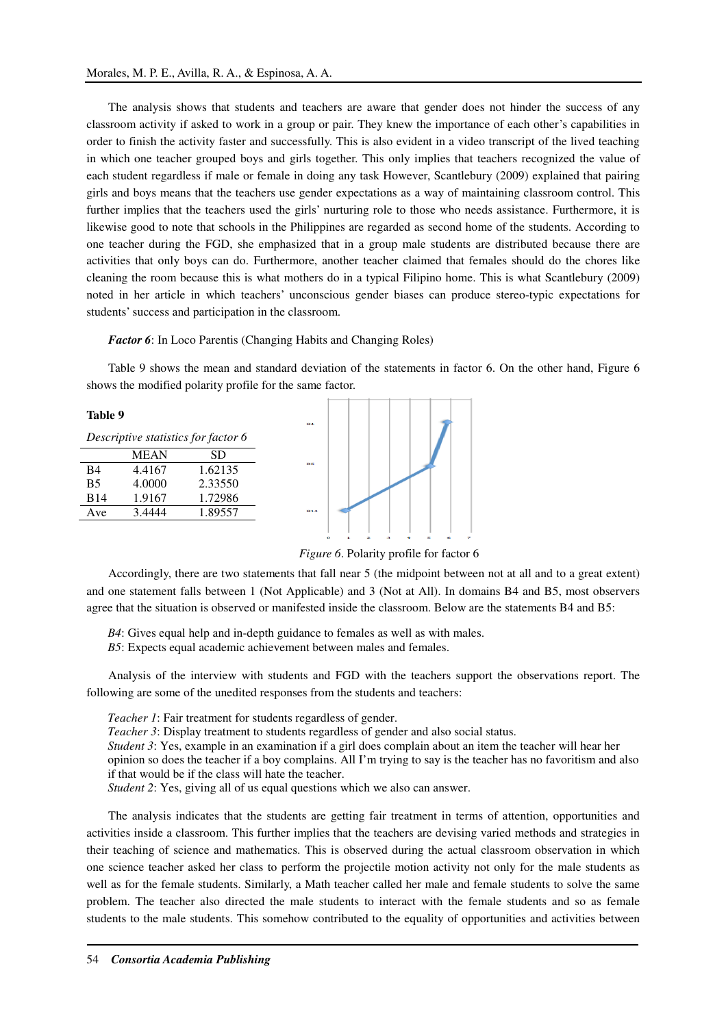The analysis shows that students and teachers are aware that gender does not hinder the success of any classroom activity if asked to work in a group or pair. They knew the importance of each other's capabilities in order to finish the activity faster and successfully. This is also evident in a video transcript of the lived teaching in which one teacher grouped boys and girls together. This only implies that teachers recognized the value of each student regardless if male or female in doing any task However, Scantlebury (2009) explained that pairing girls and boys means that the teachers use gender expectations as a way of maintaining classroom control. This further implies that the teachers used the girls' nurturing role to those who needs assistance. Furthermore, it is likewise good to note that schools in the Philippines are regarded as second home of the students. According to one teacher during the FGD, she emphasized that in a group male students are distributed because there are activities that only boys can do. Furthermore, another teacher claimed that females should do the chores like cleaning the room because this is what mothers do in a typical Filipino home. This is what Scantlebury (2009) noted in her article in which teachers' unconscious gender biases can produce stereo-typic expectations for students' success and participation in the classroom.

*Factor 6*: In Loco Parentis (Changing Habits and Changing Roles)

Table 9 shows the mean and standard deviation of the statements in factor 6. On the other hand, Figure 6 shows the modified polarity profile for the same factor.



*Figure 6*. Polarity profile for factor 6

Accordingly, there are two statements that fall near 5 (the midpoint between not at all and to a great extent) and one statement falls between 1 (Not Applicable) and 3 (Not at All). In domains B4 and B5, most observers agree that the situation is observed or manifested inside the classroom. Below are the statements B4 and B5:

*B4*: Gives equal help and in-depth guidance to females as well as with males.

*B5*: Expects equal academic achievement between males and females.

Analysis of the interview with students and FGD with the teachers support the observations report. The following are some of the unedited responses from the students and teachers:

*Teacher 1*: Fair treatment for students regardless of gender.

*Teacher 3*: Display treatment to students regardless of gender and also social status.

*Student 3*: Yes, example in an examination if a girl does complain about an item the teacher will hear her opinion so does the teacher if a boy complains. All I'm trying to say is the teacher has no favoritism and also if that would be if the class will hate the teacher.

*Student 2*: Yes, giving all of us equal questions which we also can answer.

The analysis indicates that the students are getting fair treatment in terms of attention, opportunities and activities inside a classroom. This further implies that the teachers are devising varied methods and strategies in their teaching of science and mathematics. This is observed during the actual classroom observation in which one science teacher asked her class to perform the projectile motion activity not only for the male students as well as for the female students. Similarly, a Math teacher called her male and female students to solve the same problem. The teacher also directed the male students to interact with the female students and so as female students to the male students. This somehow contributed to the equality of opportunities and activities between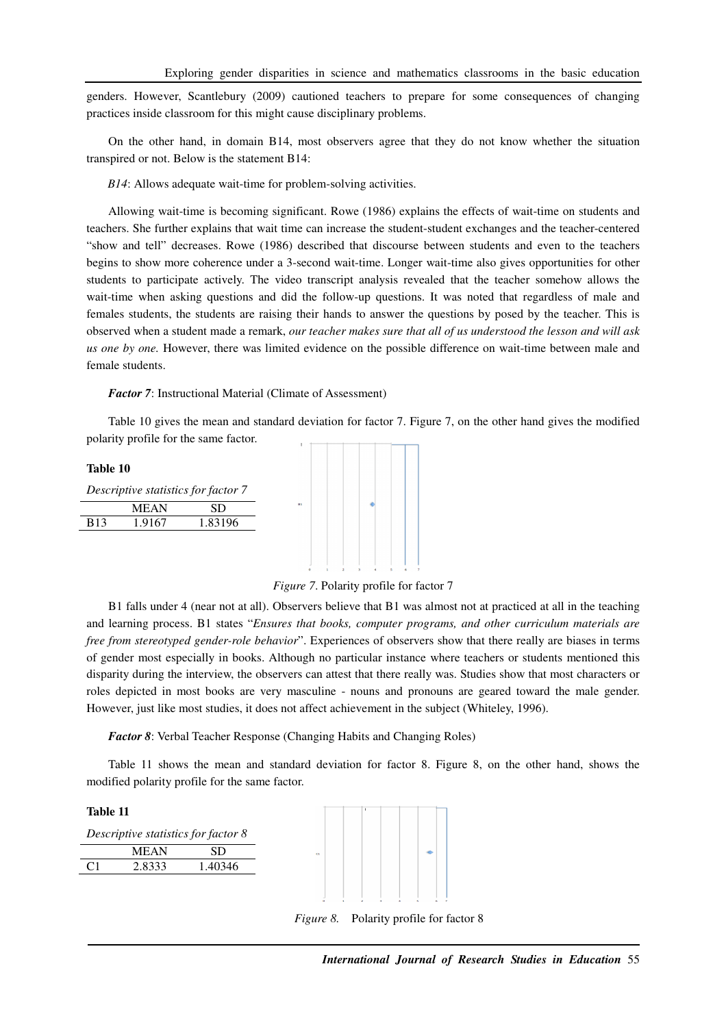genders. However, Scantlebury (2009) cautioned teachers to prepare for some consequences of changing practices inside classroom for this might cause disciplinary problems.

On the other hand, in domain B14, most observers agree that they do not know whether the situation transpired or not. Below is the statement B14:

*B14*: Allows adequate wait-time for problem-solving activities.

Allowing wait-time is becoming significant. Rowe (1986) explains the effects of wait-time on students and teachers. She further explains that wait time can increase the student-student exchanges and the teacher-centered "show and tell" decreases. Rowe (1986) described that discourse between students and even to the teachers begins to show more coherence under a 3-second wait-time. Longer wait-time also gives opportunities for other students to participate actively. The video transcript analysis revealed that the teacher somehow allows the wait-time when asking questions and did the follow-up questions. It was noted that regardless of male and females students, the students are raising their hands to answer the questions by posed by the teacher. This is observed when a student made a remark, *our teacher makes sure that all of us understood the lesson and will ask us one by one.* However, there was limited evidence on the possible difference on wait-time between male and female students.

*Factor 7*: Instructional Material (Climate of Assessment)

Table 10 gives the mean and standard deviation for factor 7. Figure 7, on the other hand gives the modified polarity profile for the same factor.

**Table 10**  *Descriptive statistics for factor 7*  MEAN SD B13 1.9167 1.83196



B1 falls under 4 (near not at all). Observers believe that B1 was almost not at practiced at all in the teaching and learning process. B1 states "*Ensures that books, computer programs, and other curriculum materials are free from stereotyped gender-role behavior*". Experiences of observers show that there really are biases in terms of gender most especially in books. Although no particular instance where teachers or students mentioned this disparity during the interview, the observers can attest that there really was. Studies show that most characters or roles depicted in most books are very masculine - nouns and pronouns are geared toward the male gender. However, just like most studies, it does not affect achievement in the subject (Whiteley, 1996).

*Factor 8*: Verbal Teacher Response (Changing Habits and Changing Roles)

Table 11 shows the mean and standard deviation for factor 8. Figure 8, on the other hand, shows the modified polarity profile for the same factor.

**Table 11** 

| Descriptive statistics for factor 8 |             |         |  |
|-------------------------------------|-------------|---------|--|
|                                     | <b>MEAN</b> | SD.     |  |
| C1                                  | 2.8333      | 1.40346 |  |



*Figure 8.* Polarity profile for factor 8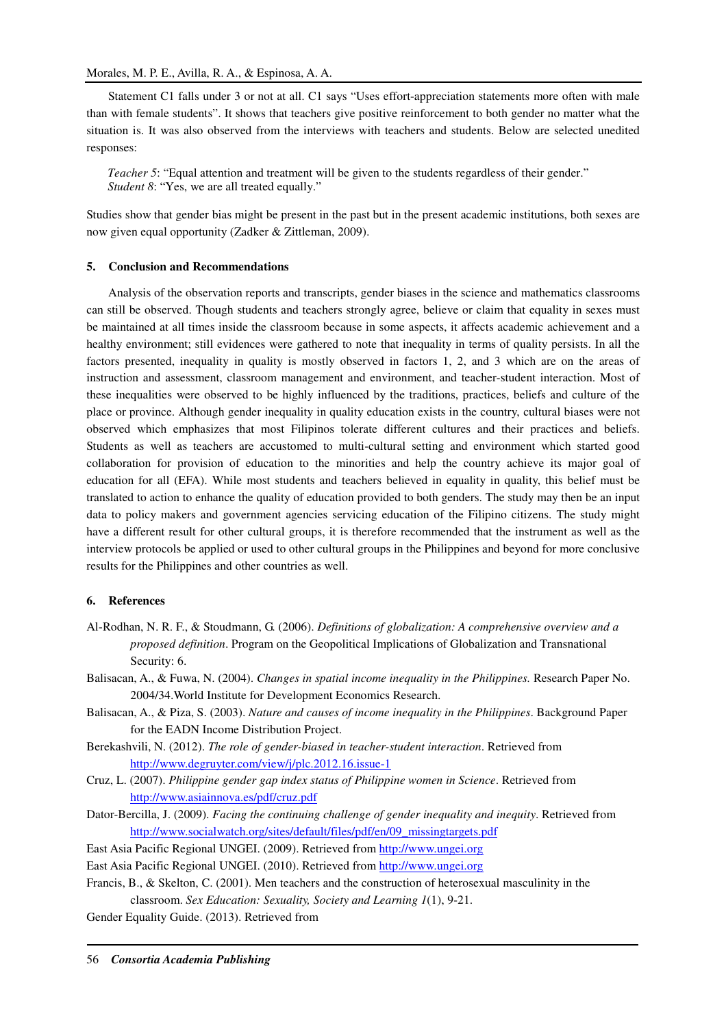Statement C1 falls under 3 or not at all. C1 says "Uses effort-appreciation statements more often with male than with female students". It shows that teachers give positive reinforcement to both gender no matter what the situation is. It was also observed from the interviews with teachers and students. Below are selected unedited responses:

*Teacher 5*: "Equal attention and treatment will be given to the students regardless of their gender." *Student 8*: "Yes, we are all treated equally."

Studies show that gender bias might be present in the past but in the present academic institutions, both sexes are now given equal opportunity (Zadker & Zittleman, 2009).

# **5. Conclusion and Recommendations**

Analysis of the observation reports and transcripts, gender biases in the science and mathematics classrooms can still be observed. Though students and teachers strongly agree, believe or claim that equality in sexes must be maintained at all times inside the classroom because in some aspects, it affects academic achievement and a healthy environment; still evidences were gathered to note that inequality in terms of quality persists. In all the factors presented, inequality in quality is mostly observed in factors 1, 2, and 3 which are on the areas of instruction and assessment, classroom management and environment, and teacher-student interaction. Most of these inequalities were observed to be highly influenced by the traditions, practices, beliefs and culture of the place or province. Although gender inequality in quality education exists in the country, cultural biases were not observed which emphasizes that most Filipinos tolerate different cultures and their practices and beliefs. Students as well as teachers are accustomed to multi-cultural setting and environment which started good collaboration for provision of education to the minorities and help the country achieve its major goal of education for all (EFA). While most students and teachers believed in equality in quality, this belief must be translated to action to enhance the quality of education provided to both genders. The study may then be an input data to policy makers and government agencies servicing education of the Filipino citizens. The study might have a different result for other cultural groups, it is therefore recommended that the instrument as well as the interview protocols be applied or used to other cultural groups in the Philippines and beyond for more conclusive results for the Philippines and other countries as well.

### **6. References**

- Al-Rodhan, N. R. F., & Stoudmann, G. (2006). *Definitions of globalization: A comprehensive overview and a proposed definition*. Program on the Geopolitical Implications of Globalization and Transnational Security: 6.
- Balisacan, A., & Fuwa, N. (2004). *Changes in spatial income inequality in the Philippines.* Research Paper No. 2004/34.World Institute for Development Economics Research.
- Balisacan, A., & Piza, S. (2003). *Nature and causes of income inequality in the Philippines*. Background Paper for the EADN Income Distribution Project.
- Berekashvili, N. (2012). *The role of gender-biased in teacher-student interaction*. Retrieved from http://www.degruyter.com/view/j/plc.2012.16.issue-1
- Cruz, L. (2007). *Philippine gender gap index status of Philippine women in Science*. Retrieved from http://www.asiainnova.es/pdf/cruz.pdf
- Dator-Bercilla, J. (2009). *Facing the continuing challenge of gender inequality and inequity*. Retrieved from http://www.socialwatch.org/sites/default/files/pdf/en/09\_missingtargets.pdf
- East Asia Pacific Regional UNGEI. (2009). Retrieved from http://www.ungei.org
- East Asia Pacific Regional UNGEI. (2010). Retrieved from http://www.ungei.org
- Francis, B., & Skelton, C. (2001). Men teachers and the construction of heterosexual masculinity in the classroom. *Sex Education: Sexuality, Society and Learning 1*(1), 9-21.
- Gender Equality Guide. (2013). Retrieved from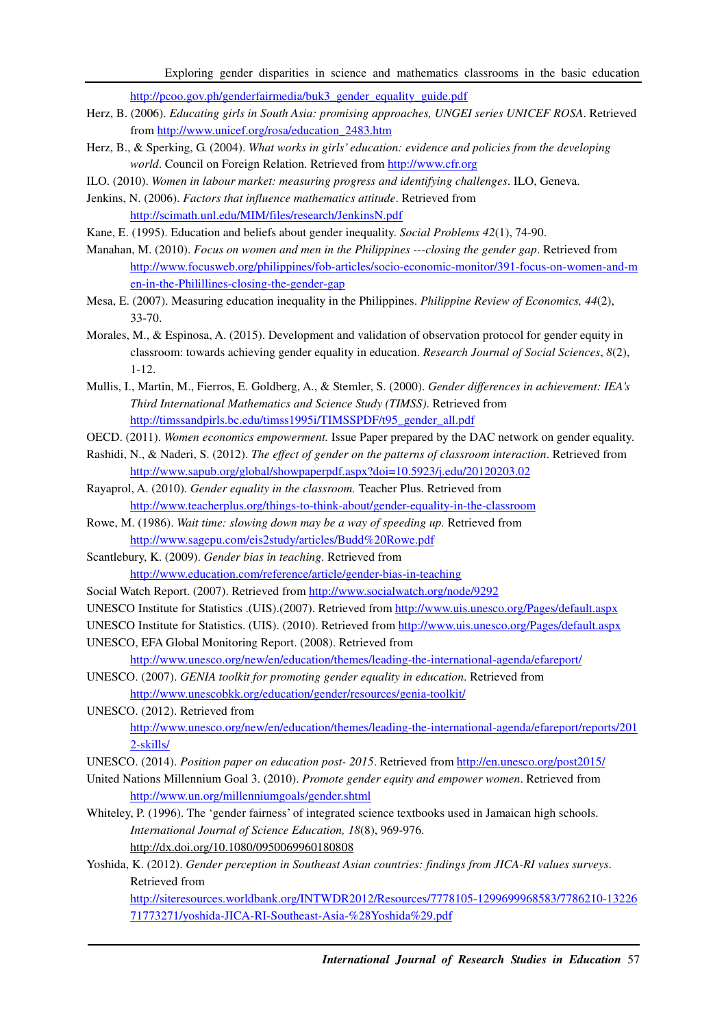http://pcoo.gov.ph/genderfairmedia/buk3\_gender\_equality\_guide.pdf

- Herz, B. (2006). *Educating girls in South Asia: promising approaches, UNGEI series UNICEF ROSA*. Retrieved from http://www.unicef.org/rosa/education\_2483.htm
- Herz, B., & Sperking, G. (2004). *What works in girls' education: evidence and policies from the developing world*. Council on Foreign Relation. Retrieved from http://www.cfr.org
- ILO. (2010). *Women in labour market: measuring progress and identifying challenges*. ILO, Geneva.
- Jenkins, N. (2006). *Factors that influence mathematics attitude*. Retrieved from http://scimath.unl.edu/MIM/files/research/JenkinsN.pdf
- Kane, E. (1995). Education and beliefs about gender inequality. *Social Problems 42*(1), 74-90.
- Manahan, M. (2010). *Focus on women and men in the Philippines ---closing the gender gap*. Retrieved from http://www.focusweb.org/philippines/fob-articles/socio-economic-monitor/391-focus-on-women-and-m en-in-the-Philillines-closing-the-gender-gap
- Mesa, E. (2007). Measuring education inequality in the Philippines. *Philippine Review of Economics, 44*(2), 33-70.
- Morales, M., & Espinosa, A. (2015). Development and validation of observation protocol for gender equity in classroom: towards achieving gender equality in education. *Research Journal of Social Sciences*, *8*(2), 1-12.
- Mullis, I., Martin, M., Fierros, E. Goldberg, A., & Stemler, S. (2000). *Gender differences in achievement: IEA's Third International Mathematics and Science Study (TIMSS)*. Retrieved from http://timssandpirls.bc.edu/timss1995i/TIMSSPDF/t95\_gender\_all.pdf
- OECD. (2011). *Women economics empowerment.* Issue Paper prepared by the DAC network on gender equality.
- Rashidi, N., & Naderi, S. (2012). *The effect of gender on the patterns of classroom interaction*. Retrieved from http://www.sapub.org/global/showpaperpdf.aspx?doi=10.5923/j.edu/20120203.02
- Rayaprol, A. (2010). *Gender equality in the classroom.* Teacher Plus. Retrieved from http://www.teacherplus.org/things-to-think-about/gender-equality-in-the-classroom
- Rowe, M. (1986). *Wait time: slowing down may be a way of speeding up.* Retrieved from http://www.sagepu.com/eis2study/articles/Budd%20Rowe.pdf
- Scantlebury, K. (2009). *Gender bias in teaching*. Retrieved from http://www.education.com/reference/article/gender-bias-in-teaching
- Social Watch Report. (2007). Retrieved from http://www.socialwatch.org/node/9292
- UNESCO Institute for Statistics .(UIS).(2007). Retrieved from http://www.uis.unesco.org/Pages/default.aspx
- UNESCO Institute for Statistics. (UIS). (2010). Retrieved from http://www.uis.unesco.org/Pages/default.aspx
- UNESCO, EFA Global Monitoring Report. (2008). Retrieved from

http://www.unesco.org/new/en/education/themes/leading-the-international-agenda/efareport/ UNESCO. (2007). *GENIA toolkit for promoting gender equality in education*. Retrieved from

http://www.unescobkk.org/education/gender/resources/genia-toolkit/

```
UNESCO. (2012). Retrieved from 
http://www.unesco.org/new/en/education/themes/leading-the-international-agenda/efareport/reports/201
2-skills/
```
UNESCO. (2014). *Position paper on education post- 2015*. Retrieved from http://en.unesco.org/post2015/

- United Nations Millennium Goal 3. (2010). *Promote gender equity and empower women*. Retrieved from http://www.un.org/millenniumgoals/gender.shtml
- Whiteley, P. (1996). The 'gender fairness' of integrated science textbooks used in Jamaican high schools. *International Journal of Science Education, 18*(8), 969-976. http://dx.doi.org/10.1080/0950069960180808
- Yoshida, K. (2012). *Gender perception in Southeast Asian countries: findings from JICA-RI values surveys*. Retrieved from

http://siteresources.worldbank.org/INTWDR2012/Resources/7778105-1299699968583/7786210-13226 71773271/yoshida-JICA-RI-Southeast-Asia-%28Yoshida%29.pdf